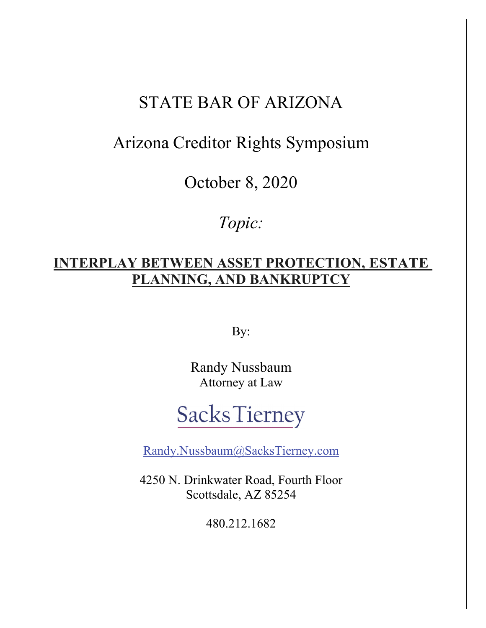# STATE BAR OF ARIZONA

# Arizona Creditor Rights Symposium

October 8, 2020

*Topic:* 

## **INTERPLAY BETWEEN ASSET PROTECTION, ESTATE PLANNING, AND BANKRUPTCY**

By:

Randy Nussbaum Attorney at Law

# **Sacks Tierney**

Randy.Nussbaum@SacksTierney.com

4250 N. Drinkwater Road, Fourth Floor Scottsdale, AZ 85254

480.212.1682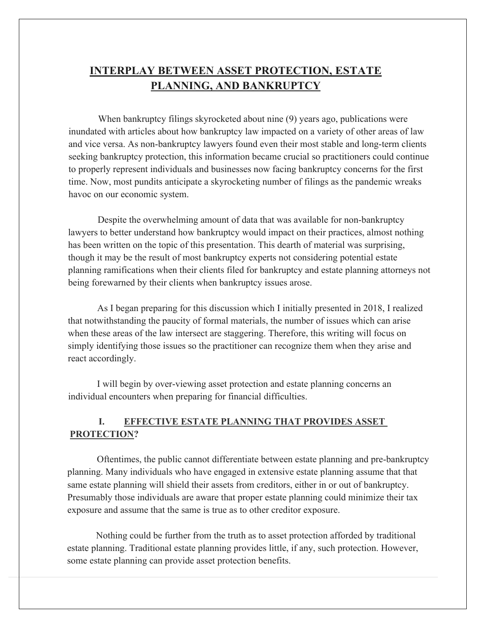## **INTERPLAY BETWEEN ASSET PROTECTION, ESTATE PLANNING, AND BANKRUPTCY**

When bankruptcy filings skyrocketed about nine (9) years ago, publications were inundated with articles about how bankruptcy law impacted on a variety of other areas of law and vice versa. As non-bankruptcy lawyers found even their most stable and long-term clients seeking bankruptcy protection, this information became crucial so practitioners could continue to properly represent individuals and businesses now facing bankruptcy concerns for the first time. Now, most pundits anticipate a skyrocketing number of filings as the pandemic wreaks havoc on our economic system.

Despite the overwhelming amount of data that was available for non-bankruptcy lawyers to better understand how bankruptcy would impact on their practices, almost nothing has been written on the topic of this presentation. This dearth of material was surprising, though it may be the result of most bankruptcy experts not considering potential estate planning ramifications when their clients filed for bankruptcy and estate planning attorneys not being forewarned by their clients when bankruptcy issues arose.

As I began preparing for this discussion which I initially presented in 2018, I realized that notwithstanding the paucity of formal materials, the number of issues which can arise when these areas of the law intersect are staggering. Therefore, this writing will focus on simply identifying those issues so the practitioner can recognize them when they arise and react accordingly.

I will begin by over-viewing asset protection and estate planning concerns an individual encounters when preparing for financial difficulties.

### **I. EFFECTIVE ESTATE PLANNING THAT PROVIDES ASSET PROTECTION?**

Oftentimes, the public cannot differentiate between estate planning and pre-bankruptcy planning. Many individuals who have engaged in extensive estate planning assume that that same estate planning will shield their assets from creditors, either in or out of bankruptcy. Presumably those individuals are aware that proper estate planning could minimize their tax exposure and assume that the same is true as to other creditor exposure.

Nothing could be further from the truth as to asset protection afforded by traditional estate planning. Traditional estate planning provides little, if any, such protection. However, some estate planning can provide asset protection benefits.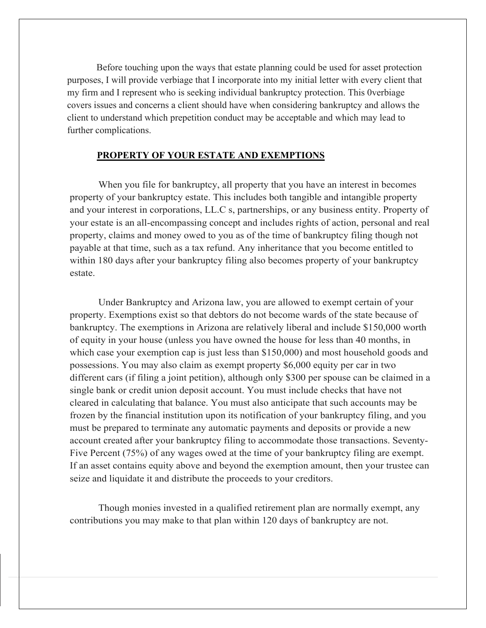Before touching upon the ways that estate planning could be used for asset protection purposes, I will provide verbiage that I incorporate into my initial letter with every client that my firm and I represent who is seeking individual bankruptcy protection. This 0verbiage covers issues and concerns a client should have when considering bankruptcy and allows the client to understand which prepetition conduct may be acceptable and which may lead to further complications.

#### **PROPERTY OF YOUR ESTATE AND EXEMPTIONS**

When you file for bankruptcy, all property that you have an interest in becomes property of your bankruptcy estate. This includes both tangible and intangible property and your interest in corporations, LL.C s, partnerships, or any business entity. Property of your estate is an all-encompassing concept and includes rights of action, personal and real property, claims and money owed to you as of the time of bankruptcy filing though not payable at that time, such as a tax refund. Any inheritance that you become entitled to within 180 days after your bankruptcy filing also becomes property of your bankruptcy estate.

Under Bankruptcy and Arizona law, you are allowed to exempt certain of your property. Exemptions exist so that debtors do not become wards of the state because of bankruptcy. The exemptions in Arizona are relatively liberal and include \$150,000 worth of equity in your house (unless you have owned the house for less than 40 months, in which case your exemption cap is just less than \$150,000) and most household goods and possessions. You may also claim as exempt property \$6,000 equity per car in two different cars (if filing a joint petition), although only \$300 per spouse can be claimed in a single bank or credit union deposit account. You must include checks that have not cleared in calculating that balance. You must also anticipate that such accounts may be frozen by the financial institution upon its notification of your bankruptcy filing, and you must be prepared to terminate any automatic payments and deposits or provide a new account created after your bankruptcy filing to accommodate those transactions. Seventy-Five Percent (75%) of any wages owed at the time of your bankruptcy filing are exempt. If an asset contains equity above and beyond the exemption amount, then your trustee can seize and liquidate it and distribute the proceeds to your creditors.

Though monies invested in a qualified retirement plan are normally exempt, any contributions you may make to that plan within 120 days of bankruptcy are not.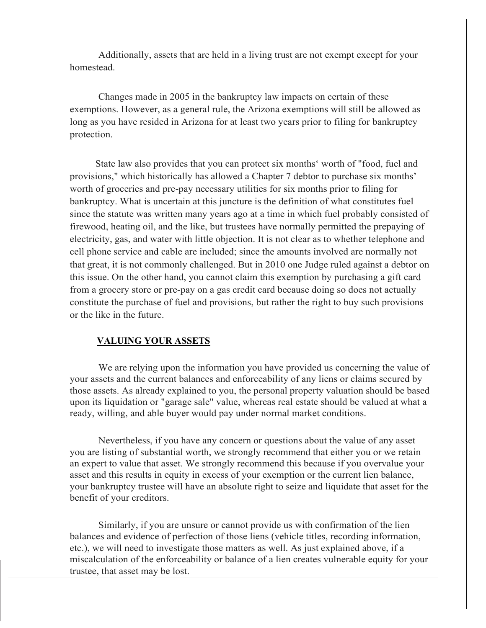Additionally, assets that are held in a living trust are not exempt except for your homestead.

Changes made in 2005 in the bankruptcy law impacts on certain of these exemptions. However, as a general rule, the Arizona exemptions will still be allowed as long as you have resided in Arizona for at least two years prior to filing for bankruptcy protection.

State law also provides that you can protect six months' worth of "food, fuel and provisions," which historically has allowed a Chapter 7 debtor to purchase six months' worth of groceries and pre-pay necessary utilities for six months prior to filing for bankruptcy. What is uncertain at this juncture is the definition of what constitutes fuel since the statute was written many years ago at a time in which fuel probably consisted of firewood, heating oil, and the like, but trustees have normally permitted the prepaying of electricity, gas, and water with little objection. It is not clear as to whether telephone and cell phone service and cable are included; since the amounts involved are normally not that great, it is not commonly challenged. But in 2010 one Judge ruled against a debtor on this issue. On the other hand, you cannot claim this exemption by purchasing a gift card from a grocery store or pre-pay on a gas credit card because doing so does not actually constitute the purchase of fuel and provisions, but rather the right to buy such provisions or the like in the future.

#### **VALUING YOUR ASSETS**

We are relying upon the information you have provided us concerning the value of your assets and the current balances and enforceability of any liens or claims secured by those assets. As already explained to you, the personal property valuation should be based upon its liquidation or "garage sale" value, whereas real estate should be valued at what a ready, willing, and able buyer would pay under normal market conditions.

Nevertheless, if you have any concern or questions about the value of any asset you are listing of substantial worth, we strongly recommend that either you or we retain an expert to value that asset. We strongly recommend this because if you overvalue your asset and this results in equity in excess of your exemption or the current lien balance, your bankruptcy trustee will have an absolute right to seize and liquidate that asset for the benefit of your creditors.

Similarly, if you are unsure or cannot provide us with confirmation of the lien balances and evidence of perfection of those liens (vehicle titles, recording information, etc.), we will need to investigate those matters as well. As just explained above, if a miscalculation of the enforceability or balance of a lien creates vulnerable equity for your trustee, that asset may be lost.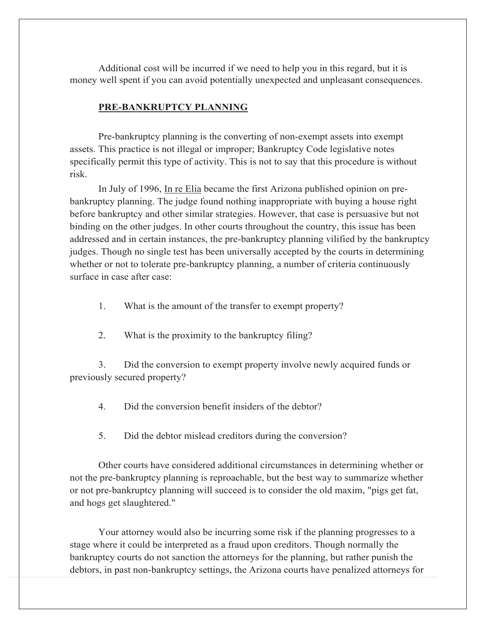Additional cost will be incurred if we need to help you in this regard, but it is money well spent if you can avoid potentially unexpected and unpleasant consequences.

#### **PRE-BANKRUPTCY PLANNING**

Pre-bankruptcy planning is the converting of non-exempt assets into exempt assets. This practice is not illegal or improper; Bankruptcy Code legislative notes specifically permit this type of activity. This is not to say that this procedure is without risk.

In July of 1996, In re Elia became the first Arizona published opinion on prebankruptcy planning. The judge found nothing inappropriate with buying a house right before bankruptcy and other similar strategies. However, that case is persuasive but not binding on the other judges. In other courts throughout the country, this issue has been addressed and in certain instances, the pre-bankruptcy planning vilified by the bankruptcy judges. Though no single test has been universally accepted by the courts in determining whether or not to tolerate pre-bankruptcy planning, a number of criteria continuously surface in case after case:

- 1. What is the amount of the transfer to exempt property?
- 2. What is the proximity to the bankruptcy filing?

3. Did the conversion to exempt property involve newly acquired funds or previously secured property?

4. Did the conversion benefit insiders of the debtor?

5. Did the debtor mislead creditors during the conversion?

Other courts have considered additional circumstances in determining whether or not the pre-bankruptcy planning is reproachable, but the best way to summarize whether or not pre-bankruptcy planning will succeed is to consider the old maxim, "pigs get fat, and hogs get slaughtered."

Your attorney would also be incurring some risk if the planning progresses to a stage where it could be interpreted as a fraud upon creditors. Though normally the bankruptcy courts do not sanction the attorneys for the planning, but rather punish the debtors, in past non-bankruptcy settings, the Arizona courts have penalized attorneys for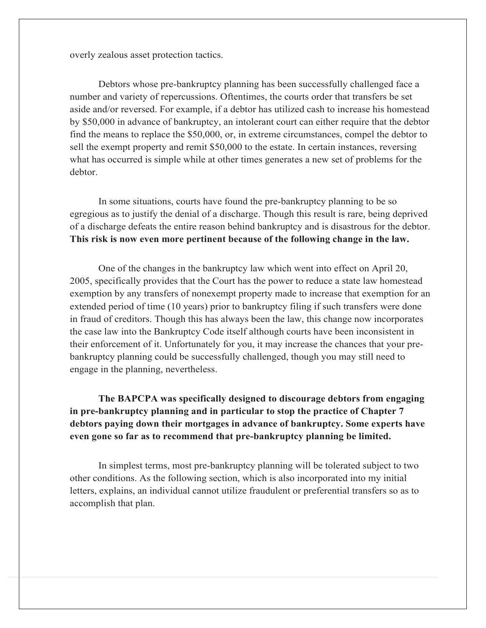overly zealous asset protection tactics.

Debtors whose pre-bankruptcy planning has been successfully challenged face a number and variety of repercussions. Oftentimes, the courts order that transfers be set aside and/or reversed. For example, if a debtor has utilized cash to increase his homestead by \$50,000 in advance of bankruptcy, an intolerant court can either require that the debtor find the means to replace the \$50,000, or, in extreme circumstances, compel the debtor to sell the exempt property and remit \$50,000 to the estate. In certain instances, reversing what has occurred is simple while at other times generates a new set of problems for the debtor.

In some situations, courts have found the pre-bankruptcy planning to be so egregious as to justify the denial of a discharge. Though this result is rare, being deprived of a discharge defeats the entire reason behind bankruptcy and is disastrous for the debtor. **This risk is now even more pertinent because of the following change in the law.** 

One of the changes in the bankruptcy law which went into effect on April 20, 2005, specifically provides that the Court has the power to reduce a state law homestead exemption by any transfers of nonexempt property made to increase that exemption for an extended period of time (10 years) prior to bankruptcy filing if such transfers were done in fraud of creditors. Though this has always been the law, this change now incorporates the case law into the Bankruptcy Code itself although courts have been inconsistent in their enforcement of it. Unfortunately for you, it may increase the chances that your prebankruptcy planning could be successfully challenged, though you may still need to engage in the planning, nevertheless.

**The BAPCPA was specifically designed to discourage debtors from engaging in pre-bankruptcy planning and in particular to stop the practice of Chapter 7 debtors paying down their mortgages in advance of bankruptcy. Some experts have even gone so far as to recommend that pre-bankruptcy planning be limited.** 

In simplest terms, most pre-bankruptcy planning will be tolerated subject to two other conditions. As the following section, which is also incorporated into my initial letters, explains, an individual cannot utilize fraudulent or preferential transfers so as to accomplish that plan.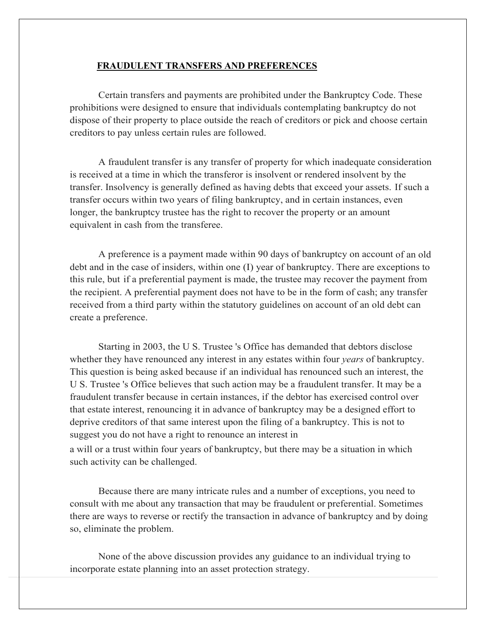#### **FRAUDULENT TRANSFERS AND PREFERENCES**

Certain transfers and payments are prohibited under the Bankruptcy Code. These prohibitions were designed to ensure that individuals contemplating bankruptcy do not dispose of their property to place outside the reach of creditors or pick and choose certain creditors to pay unless certain rules are followed.

A fraudulent transfer is any transfer of property for which inadequate consideration is received at a time in which the transferor is insolvent or rendered insolvent by the transfer. Insolvency is generally defined as having debts that exceed your assets. If such a transfer occurs within two years of filing bankruptcy, and in certain instances, even longer, the bankruptcy trustee has the right to recover the property or an amount equivalent in cash from the transferee.

A preference is a payment made within 90 days of bankruptcy on account of an old debt and in the case of insiders, within one (I) year of bankruptcy. There are exceptions to this rule, but if a preferential payment is made, the trustee may recover the payment from the recipient. A preferential payment does not have to be in the form of cash; any transfer received from a third party within the statutory guidelines on account of an old debt can create a preference.

Starting in 2003, the U S. Trustee 's Office has demanded that debtors disclose whether they have renounced any interest in any estates within four *years* of bankruptcy. This question is being asked because if an individual has renounced such an interest, the U S. Trustee 's Office believes that such action may be a fraudulent transfer. It may be a fraudulent transfer because in certain instances, if the debtor has exercised control over that estate interest, renouncing it in advance of bankruptcy may be a designed effort to deprive creditors of that same interest upon the filing of a bankruptcy. This is not to suggest you do not have a right to renounce an interest in

a will or a trust within four years of bankruptcy, but there may be a situation in which such activity can be challenged.

Because there are many intricate rules and a number of exceptions, you need to consult with me about any transaction that may be fraudulent or preferential. Sometimes there are ways to reverse or rectify the transaction in advance of bankruptcy and by doing so, eliminate the problem.

None of the above discussion provides any guidance to an individual trying to incorporate estate planning into an asset protection strategy.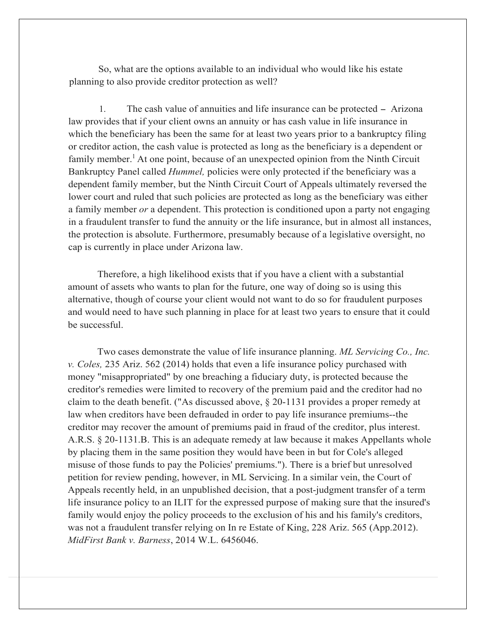So, what are the options available to an individual who would like his estate planning to also provide creditor protection as well?

1. The cash value of annuities and life insurance can be protected - Arizona law provides that if your client owns an annuity or has cash value in life insurance in which the beneficiary has been the same for at least two years prior to a bankruptcy filing or creditor action, the cash value is protected as long as the beneficiary is a dependent or family member.<sup>1</sup> At one point, because of an unexpected opinion from the Ninth Circuit Bankruptcy Panel called *Hummel,* policies were only protected if the beneficiary was a dependent family member, but the Ninth Circuit Court of Appeals ultimately reversed the lower court and ruled that such policies are protected as long as the beneficiary was either a family member *or* a dependent. This protection is conditioned upon a party not engaging in a fraudulent transfer to fund the annuity or the life insurance, but in almost all instances, the protection is absolute. Furthermore, presumably because of a legislative oversight, no cap is currently in place under Arizona law.

Therefore, a high likelihood exists that if you have a client with a substantial amount of assets who wants to plan for the future, one way of doing so is using this alternative, though of course your client would not want to do so for fraudulent purposes and would need to have such planning in place for at least two years to ensure that it could be successful.

Two cases demonstrate the value of life insurance planning. *ML Servicing Co., Inc. v. Coles,* 235 Ariz. 562 (2014) holds that even a life insurance policy purchased with money "misappropriated" by one breaching a fiduciary duty, is protected because the creditor's remedies were limited to recovery of the premium paid and the creditor had no claim to the death benefit. ("As discussed above, § 20-1131 provides a proper remedy at law when creditors have been defrauded in order to pay life insurance premiums--the creditor may recover the amount of premiums paid in fraud of the creditor, plus interest. A.R.S. § 20-1131.B. This is an adequate remedy at law because it makes Appellants whole by placing them in the same position they would have been in but for Cole's alleged misuse of those funds to pay the Policies' premiums."). There is a brief but unresolved petition for review pending, however, in ML Servicing. In a similar vein, the Court of Appeals recently held, in an unpublished decision, that a post-judgment transfer of a term life insurance policy to an ILIT for the expressed purpose of making sure that the insured's family would enjoy the policy proceeds to the exclusion of his and his family's creditors, was not a fraudulent transfer relying on In re Estate of King, 228 Ariz. 565 (App.2012). *MidFirst Bank v. Barness*, 2014 W.L. 6456046.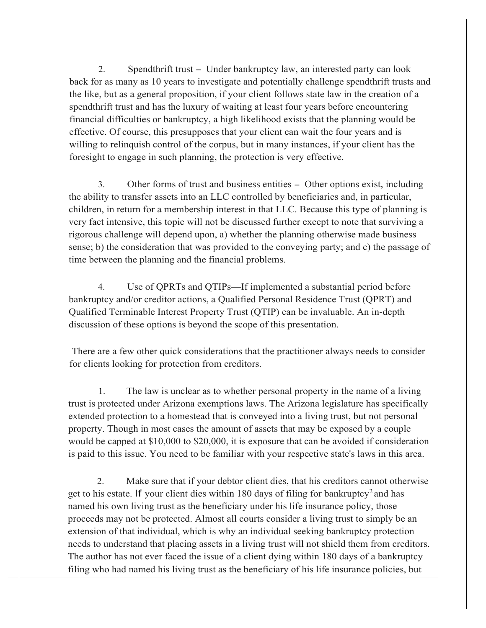2. Spendthrift trust - Under bankruptcy law, an interested party can look back for as many as 10 years to investigate and potentially challenge spendthrift trusts and the like, but as a general proposition, if your client follows state law in the creation of a spendthrift trust and has the luxury of waiting at least four years before encountering financial difficulties or bankruptcy, a high likelihood exists that the planning would be effective. Of course, this presupposes that your client can wait the four years and is willing to relinquish control of the corpus, but in many instances, if your client has the foresight to engage in such planning, the protection is very effective.

3. Other forms of trust and business entities - Other options exist, including the ability to transfer assets into an LLC controlled by beneficiaries and, in particular, children, in return for a membership interest in that LLC. Because this type of planning is very fact intensive, this topic will not be discussed further except to note that surviving a rigorous challenge will depend upon, a) whether the planning otherwise made business sense; b) the consideration that was provided to the conveying party; and c) the passage of time between the planning and the financial problems.

4. Use of QPRTs and QTIPs—If implemented a substantial period before bankruptcy and/or creditor actions, a Qualified Personal Residence Trust (QPRT) and Qualified Terminable Interest Property Trust (QTIP) can be invaluable. An in-depth discussion of these options is beyond the scope of this presentation.

 There are a few other quick considerations that the practitioner always needs to consider for clients looking for protection from creditors.

1. The law is unclear as to whether personal property in the name of a living trust is protected under Arizona exemptions laws. The Arizona legislature has specifically extended protection to a homestead that is conveyed into a living trust, but not personal property. Though in most cases the amount of assets that may be exposed by a couple would be capped at \$10,000 to \$20,000, it is exposure that can be avoided if consideration is paid to this issue. You need to be familiar with your respective state's laws in this area.

2. Make sure that if your debtor client dies, that his creditors cannot otherwise get to his estate. If your client dies within 180 days of filing for bankruptcy<sup>2</sup> and has named his own living trust as the beneficiary under his life insurance policy, those proceeds may not be protected. Almost all courts consider a living trust to simply be an extension of that individual, which is why an individual seeking bankruptcy protection needs to understand that placing assets in a living trust will not shield them from creditors. The author has not ever faced the issue of a client dying within 180 days of a bankruptcy filing who had named his living trust as the beneficiary of his life insurance policies, but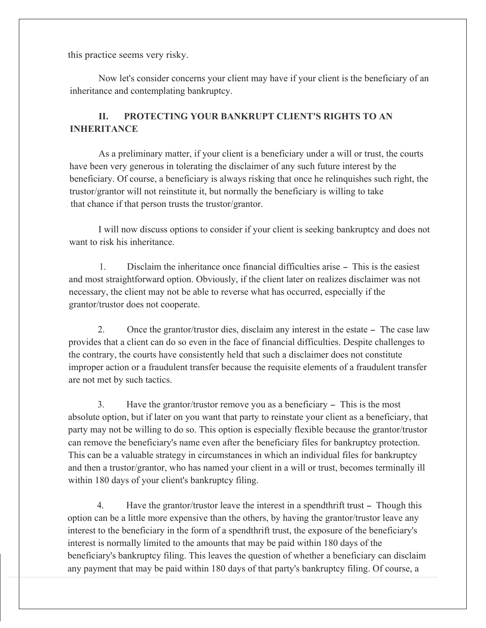this practice seems very risky.

Now let's consider concerns your client may have if your client is the beneficiary of an inheritance and contemplating bankruptcy.

## **II. PROTECTING YOUR BANKRUPT CLIENT'S RIGHTS TO AN INHERITANCE**

As a preliminary matter, if your client is a beneficiary under a will or trust, the courts have been very generous in tolerating the disclaimer of any such future interest by the beneficiary. Of course, a beneficiary is always risking that once he relinquishes such right, the trustor/grantor will not reinstitute it, but normally the beneficiary is willing to take . that chance if that person trusts the trustor/grantor.

I will now discuss options to consider if your client is seeking bankruptcy and does not want to risk his inheritance.

1. Disclaim the inheritance once financial difficulties arise - This is the easiest and most straightforward option. Obviously, if the client later on realizes disclaimer was not necessary, the client may not be able to reverse what has occurred, especially if the grantor/trustor does not cooperate.

2. Once the grantor/trustor dies, disclaim any interest in the estate – The case law provides that a client can do so even in the face of financial difficulties. Despite challenges to the contrary, the courts have consistently held that such a disclaimer does not constitute improper action or a fraudulent transfer because the requisite elements of a fraudulent transfer are not met by such tactics.

3. Have the grantor/trustor remove you as a beneficiary – This is the most absolute option, but if later on you want that party to reinstate your client as a beneficiary, that party may not be willing to do so. This option is especially flexible because the grantor/trustor can remove the beneficiary's name even after the beneficiary files for bankruptcy protection. This can be a valuable strategy in circumstances in which an individual files for bankruptcy and then a trustor/grantor, who has named your client in a will or trust, becomes terminally ill within 180 days of your client's bankruptcy filing.

4. Have the grantor/trustor leave the interest in a spendthrift trust – Though this option can be a little more expensive than the others, by having the grantor/trustor leave any interest to the beneficiary in the form of a spendthrift trust, the exposure of the beneficiary's interest is normally limited to the amounts that may be paid within 180 days of the beneficiary's bankruptcy filing. This leaves the question of whether a beneficiary can disclaim any payment that may be paid within 180 days of that party's bankruptcy filing. Of course, a